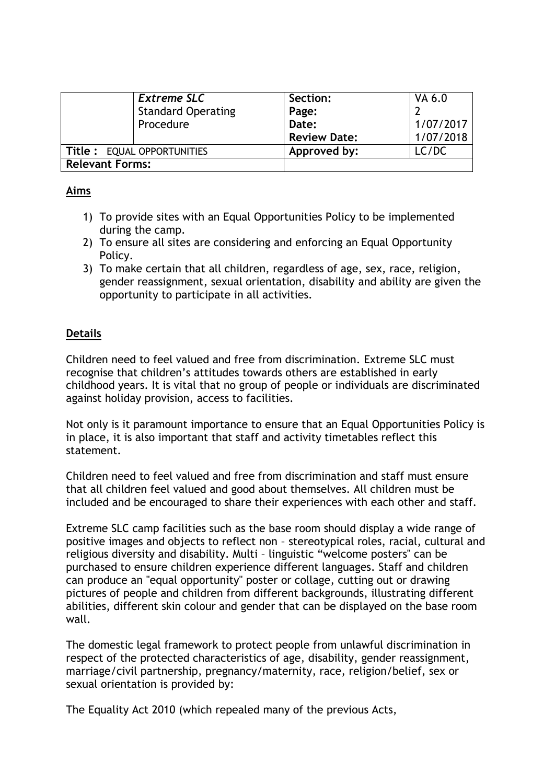|                            | <b>Extreme SLC</b>        | Section:            | VA 6.0    |
|----------------------------|---------------------------|---------------------|-----------|
|                            | <b>Standard Operating</b> | Page:               |           |
| Procedure                  |                           | Date:               | 1/07/2017 |
|                            |                           | <b>Review Date:</b> | 1/07/2018 |
| Title: EQUAL OPPORTUNITIES |                           | Approved by:        | LC/DC     |
| <b>Relevant Forms:</b>     |                           |                     |           |

### **Aims**

- 1) To provide sites with an Equal Opportunities Policy to be implemented during the camp.
- 2) To ensure all sites are considering and enforcing an Equal Opportunity Policy.
- 3) To make certain that all children, regardless of age, sex, race, religion, gender reassignment, sexual orientation, disability and ability are given the opportunity to participate in all activities.

# **Details**

Children need to feel valued and free from discrimination. Extreme SLC must recognise that children's attitudes towards others are established in early childhood years. It is vital that no group of people or individuals are discriminated against holiday provision, access to facilities.

Not only is it paramount importance to ensure that an Equal Opportunities Policy is in place, it is also important that staff and activity timetables reflect this statement.

Children need to feel valued and free from discrimination and staff must ensure that all children feel valued and good about themselves. All children must be included and be encouraged to share their experiences with each other and staff.

Extreme SLC camp facilities such as the base room should display a wide range of positive images and objects to reflect non – stereotypical roles, racial, cultural and religious diversity and disability. Multi – linguistic "welcome posters" can be purchased to ensure children experience different languages. Staff and children can produce an "equal opportunity" poster or collage, cutting out or drawing pictures of people and children from different backgrounds, illustrating different abilities, different skin colour and gender that can be displayed on the base room wall.

The domestic legal framework to protect people from unlawful discrimination in respect of the protected characteristics of age, disability, gender reassignment, marriage/civil partnership, pregnancy/maternity, race, religion/belief, sex or sexual orientation is provided by:

The Equality Act 2010 (which repealed many of the previous Acts,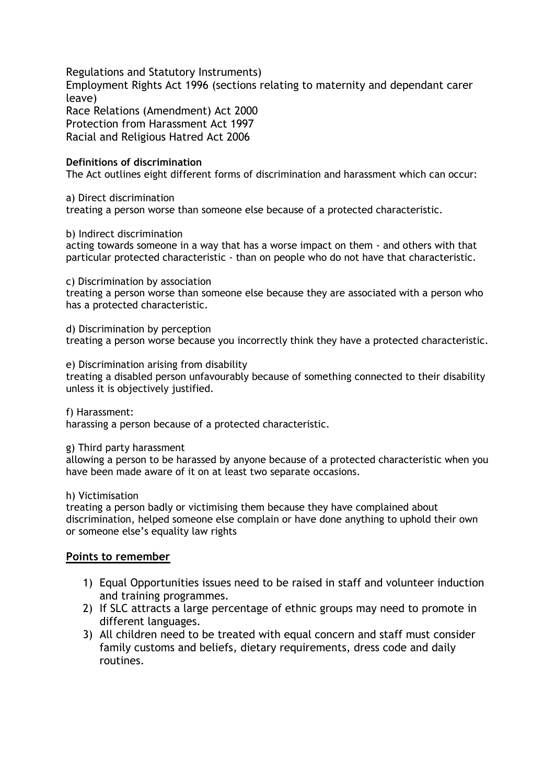Regulations and Statutory Instruments) Employment Rights Act 1996 (sections relating to maternity and dependant carer leave) Race Relations (Amendment) Act 2000 Protection from Harassment Act 1997 Racial and Religious Hatred Act 2006

#### **Definitions of discrimination**

The Act outlines eight different forms of discrimination and harassment which can occur:

a) Direct discrimination

treating a person worse than someone else because of a protected characteristic.

b) Indirect discrimination

acting towards someone in a way that has a worse impact on them - and others with that particular protected characteristic - than on people who do not have that characteristic.

c) Discrimination by association

treating a person worse than someone else because they are associated with a person who has a protected characteristic.

d) Discrimination by perception treating a person worse because you incorrectly think they have a protected characteristic.

e) Discrimination arising from disability

treating a disabled person unfavourably because of something connected to their disability unless it is objectively justified.

f) Harassment: harassing a person because of a protected characteristic.

g) Third party harassment

allowing a person to be harassed by anyone because of a protected characteristic when you have been made aware of it on at least two separate occasions.

h) Victimisation

treating a person badly or victimising them because they have complained about discrimination, helped someone else complain or have done anything to uphold their own or someone else's equality law rights

#### **Points to remember**

- 1) Equal Opportunities issues need to be raised in staff and volunteer induction and training programmes.
- 2) If SLC attracts a large percentage of ethnic groups may need to promote in different languages.
- 3) All children need to be treated with equal concern and staff must consider family customs and beliefs, dietary requirements, dress code and daily routines.